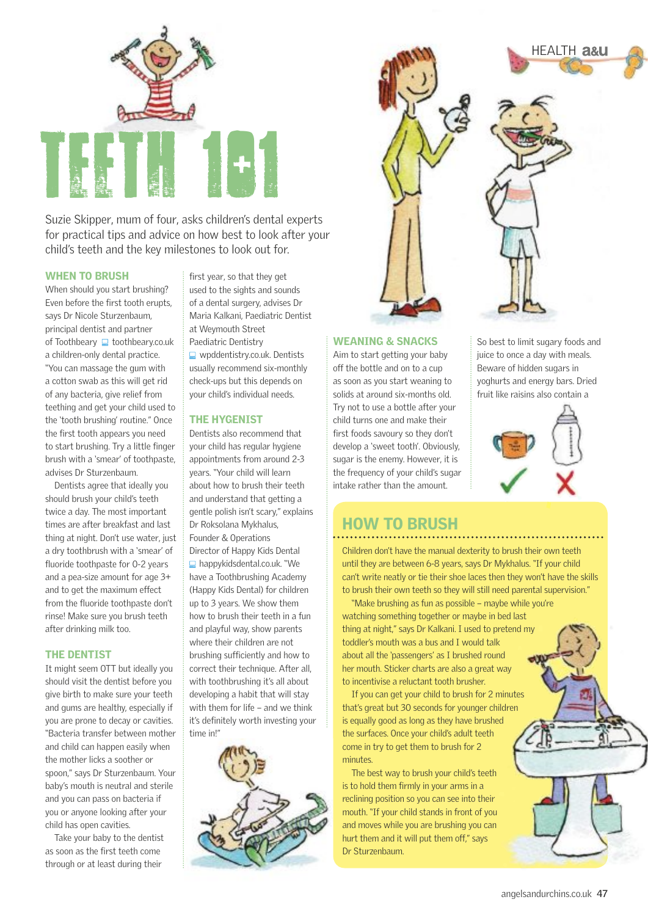

Suzie Skipper, mum of four, asks children's dental experts for practical tips and advice on how best to look after your child's teeth and the key milestones to look out for.

#### WHEN TO BRUSH

When should you start brushing? Even before the first tooth erupts, says Dr Nicole Sturzenbaum, principal dentist and partner of Toothbeary  $\Box$  toothbeary.co.uk a children-only dental practice. "You can massage the gum with a cotton swab as this will get rid of any bacteria, give relief from teething and get your child used to the 'tooth brushing' routine." Once the first tooth appears you need to start brushing. Try a little finger brush with a 'smear' of toothpaste, advises Dr Sturzenbaum.

Dentists agree that ideally you should brush your child's teeth twice a day. The most important times are after breakfast and last thing at night. Don't use water, just a dry toothbrush with a 'smear' of fluoride toothpaste for 0-2 years and a pea-size amount for age 3+ and to get the maximum effect from the fluoride toothpaste don't rinse! Make sure you brush teeth after drinking milk too.

#### THE DENTIST

It might seem OTT but ideally you should visit the dentist before you give birth to make sure your teeth and gums are healthy, especially if you are prone to decay or cavities. "Bacteria transfer between mother and child can happen easily when the mother licks a soother or spoon," says Dr Sturzenbaum. Your baby's mouth is neutral and sterile and you can pass on bacteria if you or anyone looking after your child has open cavities.

Take your baby to the dentist as soon as the first teeth come through or at least during their

first year, so that they get used to the sights and sounds of a dental surgery, advises Dr Maria Kalkani, Paediatric Dentist at Weymouth Street Paediatric Dentistry

■ wpddentistry.co.uk. Dentists usually recommend six-monthly check-ups but this depends on your child's individual needs.

#### THE HYGENIST

Dentists also recommend that your child has regular hygiene appointments from around 2-3 years. "Your child will learn about how to brush their teeth and understand that getting a gentle polish isn't scary," explains Dr Roksolana Mykhalus, Founder & Operations Director of Happy Kids Dental ■ happykidsdental.co.uk. "We have a Toothbrushing Academy (Happy Kids Dental) for children up to 3 years. We show them how to brush their teeth in a fun and playful way, show parents where their children are not brushing sufficiently and how to correct their technique. After all, with toothbrushing it's all about developing a habit that will stay with them for life – and we think it's definitely worth investing your time in!"





## WEANING & SNACKS

Aim to start getting your baby off the bottle and on to a cup as soon as you start weaning to solids at around six-months old. Try not to use a bottle after your child turns one and make their first foods savoury so they don't develop a 'sweet tooth'. Obviously, sugar is the enemy. However, it is the frequency of your child's sugar intake rather than the amount.

So best to limit sugary foods and juice to once a day with meals. Beware of hidden sugars in yoghurts and energy bars. Dried fruit like raisins also contain a



# HOW TO BRUSH

Children don't have the manual dexterity to brush their own teeth until they are between 6-8 years, says Dr Mykhalus. "If your child can't write neatly or tie their shoe laces then they won't have the skills to brush their own teeth so they will still need parental supervision."

"Make brushing as fun as possible – maybe while you're watching something together or maybe in bed last thing at night," says Dr Kalkani. I used to pretend my toddler's mouth was a bus and I would talk about all the 'passengers' as  $I$  brushed round her mouth. Sticker charts are also a great way to incentivise a reluctant tooth brusher.

If you can get your child to brush for 2 minutes that's great but 30 seconds for younger children is equally good as long as they have brushed the surfaces. Once your child's adult teeth come in try to get them to brush for 2 minutes.

The best way to brush your child's teeth is to hold them firmly in your arms in a reclining position so you can see into their mouth. "If your child stands in front of you and moves while you are brushing you can hurt them and it will put them off," says Dr Sturzenbaum.